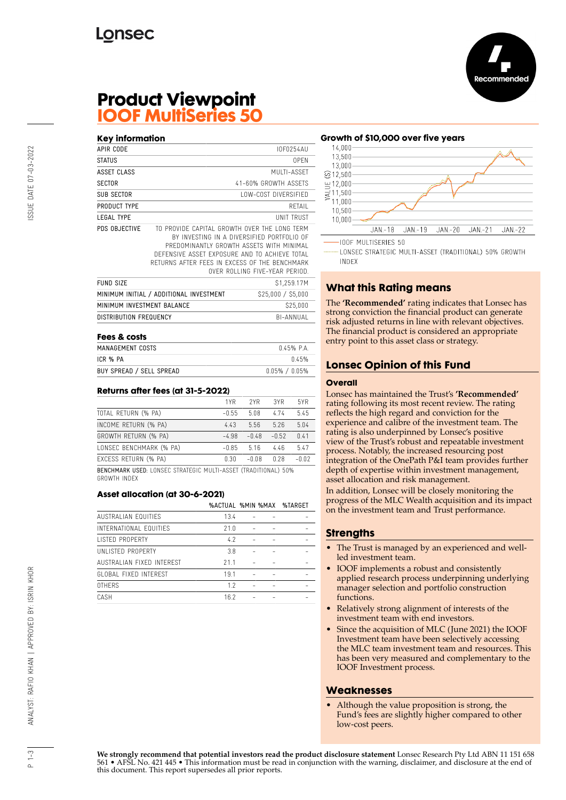

# **Product Viewpoint IOOF MultiSeries 50**

#### **Key information** APIR CODE IOF0254AU STATUS OPEN ASSET CLASS MULTI-ASSET SECTOR 41-60% GROWTH ASSETS SUB SECTOR LOW-COST DIVERSIFIED PRODUCT TYPE RETAIL LEGAL TYPE UNIT TRUST PDS OBJECTIVE TO PROVIDE CAPITAL GROWTH OVER THE LONG TERM BY INVESTING IN A DIVERSIFIED PORTFOLIO OF PREDOMINANTLY GROWTH ASSETS WITH MINIMAL DEFENSIVE ASSET EXPOSURE AND TO ACHIEVE TOTAL RETURNS AFTER FEES IN EXCESS OF THE BENCHMARK OVER ROLLING FIVE-YEAR PERIOD. **FUND SIZE** \$1,259.17M MINIMUM INITIAL / ADDITIONAL INVESTMENT \$25,000 / \$5,000 MINIMUM INVESTMENT BALANCE \$25,000 DISTRIBUTION FREQUENCY BI-ANNUAL **Fees & costs**

| MANAGEMENT COSTS         | 045% PA             |
|--------------------------|---------------------|
| ICR % PA                 | በ 45%               |
| BUY SPREAD / SELL SPREAD | $0.05\%$ / $0.05\%$ |

#### **Returns after fees (at 31-5-2022)**

|                                                                       | 1YR     | 2YR     | 3YR     | 5YR     |
|-----------------------------------------------------------------------|---------|---------|---------|---------|
| TOTAL RETURN (% PA)                                                   | $-0.55$ | 5.08    | 474     | 5.45    |
| INCOME RETURN (% PA)                                                  | 4.43    | 5.56    | 5.26    | 5.04    |
| GROWTH RETURN (% PA)                                                  | $-4.98$ | $-0.48$ | $-0.52$ | 0.41    |
| LONSEC BENCHMARK (% PA)                                               | $-0.85$ | 5.16    | 4.46    | 5.47    |
| EXCESS RETURN (% PA)                                                  | 0.30    | $-0.08$ | 0.28    | $-0.02$ |
| <b>BENCHMARK USED: LONSEC STRATEGIC MULTI-ASSET (TRADITIONAL) 50%</b> |         |         |         |         |

GROWTH INDEX

#### **Asset allocation (at 30-6-2021)**

|                              | %ACTUAL %MIN %MAX |  | %TARGET |
|------------------------------|-------------------|--|---------|
| AUSTRALIAN FOUITIES          | 13.4              |  |         |
| INTERNATIONAL EQUITIES       | 21.0              |  |         |
| <b>LISTED PROPERTY</b>       | 4.2               |  |         |
| UNI ISTED PROPERTY           | 3.8               |  |         |
| AUSTRALIAN FIXED INTEREST    | 211               |  |         |
| <b>GLOBAL FIXED INTFREST</b> | 19.1              |  |         |
| <b>OTHERS</b>                | 1.7               |  |         |
| CASH                         | 16.2              |  |         |
|                              |                   |  |         |

### **Growth of \$10,000 over five years**



LONSEC STRATEGIC MULTI-ASSET (TRADITIONAL) 50% GROWTH **INDEX** 

# **What this Rating means**

The **'Recommended'** rating indicates that Lonsec has strong conviction the financial product can generate risk adjusted returns in line with relevant objectives. The financial product is considered an appropriate entry point to this asset class or strategy.

## **Lonsec Opinion of this Fund**

#### **Overall**

Lonsec has maintained the Trust's **'Recommended'** rating following its most recent review. The rating reflects the high regard and conviction for the experience and calibre of the investment team. The rating is also underpinned by Lonsec's positive view of the Trust's robust and repeatable investment process. Notably, the increased resourcing post integration of the OnePath P&I team provides further depth of expertise within investment management, asset allocation and risk management.

In addition, Lonsec will be closely monitoring the progress of the MLC Wealth acquisition and its impact on the investment team and Trust performance.

### **Strengths**

- The Trust is managed by an experienced and wellled investment team.
- IOOF implements a robust and consistently applied research process underpinning underlying manager selection and portfolio construction functions.
- Relatively strong alignment of interests of the investment team with end investors.
- Since the acquisition of MLC (June 2021) the IOOF Investment team have been selectively accessing the MLC team investment team and resources. This has been very measured and complementary to the IOOF Investment process.

### **Weaknesses**

• Although the value proposition is strong, the Fund's fees are slightly higher compared to other low-cost peers.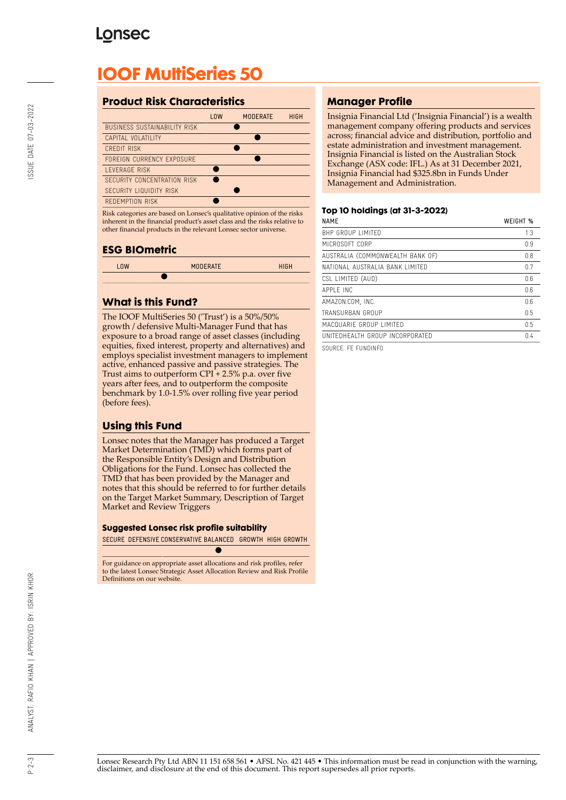# **Lonsec**

# **IOOF MultiSeries 50**

## **Product Risk Characteristics**

|                                     | 10W | <b>MODERATE</b> | <b>HIGH</b> |
|-------------------------------------|-----|-----------------|-------------|
| <b>BUSINESS SUSTAINABILITY RISK</b> |     |                 |             |
| CAPITAL VOLATILITY                  |     |                 |             |
| CREDIT RISK                         |     |                 |             |
| FORFIGN CURRENCY EXPOSURE           |     |                 |             |
| <b>I FVFRAGF RISK</b>               |     |                 |             |
| SECURITY CONCENTRATION RISK         |     |                 |             |
| SECURITY LIQUIDITY RISK             |     |                 |             |
| REDEMPTION RISK                     |     |                 |             |
|                                     |     |                 |             |

Risk categories are based on Lonsec's qualitative opinion of the risks inherent in the financial product's asset class and the risks relative to other financial products in the relevant Lonsec sector universe.

### **ESG BIOmetric**

| 10W | <b>MODERATE</b> | <b>HIGH</b> |
|-----|-----------------|-------------|
|     |                 |             |

## **What is this Fund?**

The IOOF MultiSeries 50 ('Trust') is a 50%/50% growth / defensive Multi-Manager Fund that has exposure to a broad range of asset classes (including equities, fixed interest, property and alternatives) and employs specialist investment managers to implement active, enhanced passive and passive strategies. The Trust aims to outperform CPI + 2.5% p.a. over five years after fees, and to outperform the composite benchmark by 1.0-1.5% over rolling five year period (before fees).

# **Using this Fund**

Lonsec notes that the Manager has produced a Target Market Determination (TMD) which forms part of the Responsible Entity's Design and Distribution Obligations for the Fund. Lonsec has collected the TMD that has been provided by the Manager and notes that this should be referred to for further details on the Target Market Summary, Description of Target Market and Review Triggers

#### **Suggested Lonsec risk profile suitability**

SECURE DEFENSIVE CONSERVATIVE BALANCED GROWTH HIGH GROWTH

 $\bullet$ 

For guidance on appropriate asset allocations and risk profiles, refer to the latest Lonsec Strategic Asset Allocation Review and Risk Profile Definitions on our website.

# **Manager Profile**

Insignia Financial Ltd ('Insignia Financial') is a wealth management company offering products and services across; financial advice and distribution, portfolio and estate administration and investment management. Insignia Financial is listed on the Australian Stock Exchange (ASX code: IFL.) As at 31 December 2021, Insignia Financial had \$325.8bn in Funds Under Management and Administration.

#### **Top 10 holdings (at 31-3-2022)**

| <b>NAME</b>                      | WEIGHT % |
|----------------------------------|----------|
| BHP GROUP LIMITED                | 1.3      |
| MICROSOFT CORP                   | 0.9      |
| AUSTRALIA (COMMONWEALTH BANK OF) | 0.8      |
| NATIONAL AUSTRALIA BANK LIMITED  | 0.7      |
| CSL LIMITED (AUD)                | 0.6      |
| APPI F INC                       | 0.6      |
| AMAZON.COM. INC.                 | 0.6      |
| TRANSURBAN GROUP                 | 0.5      |
| MACQUARIE GROUP LIMITED          | 0.5      |
| UNITEDHEALTH GROUP INCORPORATED  | 04       |
|                                  |          |

SOURCE: FE FUNDINFO